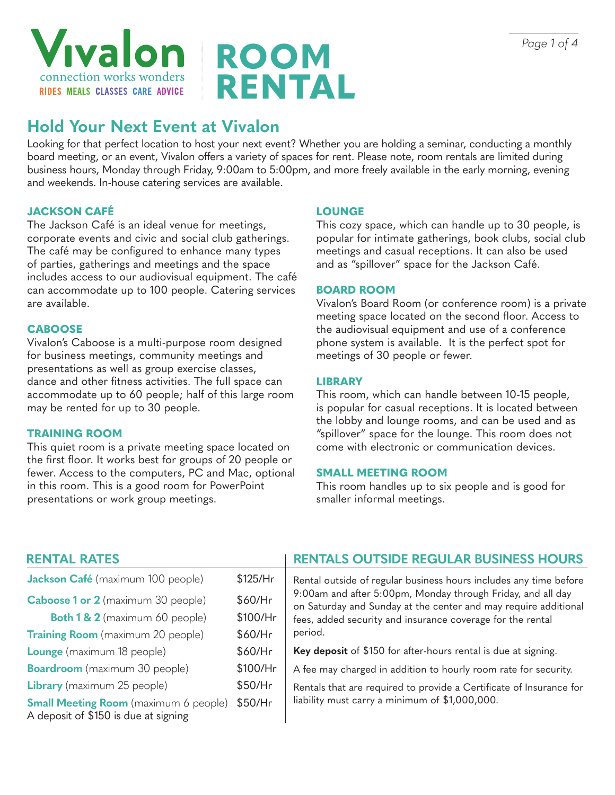

# **ROOM RENTAL**

## **Hold Your Next Event at Vivalon**

Looking for that perfect location to host your next event? Whether you are holding a seminar, conducting a monthly board meeting, or an event, Vivalon offers a variety of spaces for rent. Please note, room rentals are limited during business hours, Monday through Friday, 9:00am to 5:00pm, and more freely available in the early morning, evening and weekends. In-house catering services are available.

#### **JACKSON CAFÉ**

The Jackson Café is an ideal venue for meetings, corporate events and civic and social club gatherings. The café may be configured to enhance many types of parties, gatherings and meetings and the space includes access to our audiovisual equipment. The café can accommodate up to 100 people. Catering services are available.

#### **CABOOSE**

Vivalon's Caboose is a multi-purpose room designed for business meetings, community meetings and presentations as well as group exercise classes, dance and other fitness activities. The full space can accommodate up to 60 people; half of this large room may be rented for up to 30 people.

#### **TRAINING ROOM**

This quiet room is a private meeting space located on the first floor. It works best for groups of 20 people or fewer. Access to the computers, PC and Mac, optional in this room. This is a good room for PowerPoint presentations or work group meetings.

#### **LOUNGE**

This cozy space, which can handle up to 30 people, is popular for intimate gatherings, book clubs, social club meetings and casual receptions. It can also be used and as "spillover" space for the Jackson Café.

#### **BOARD ROOM**

Vivalon's Board Room (or conference room) is a private meeting space located on the second floor. Access to the audiovisual equipment and use of a conference phone system is available. It is the perfect spot for meetings of 30 people or fewer.

#### **LIBRARY**

This room, which can handle between 10-15 people, is popular for casual receptions. It is located between the lobby and lounge rooms, and can be used and as "spillover" space for the lounge. This room does not come with electronic or communication devices.

#### **SMALL MEETING ROOM**

This room handles up to six people and is good for smaller informal meetings.

| <b>RENTAL RATES</b>                                                                  |            | <b>RENTALS OUTSIDE REGULAR BUSINESS HOURS</b>                                                                                                                                                                                                                                |
|--------------------------------------------------------------------------------------|------------|------------------------------------------------------------------------------------------------------------------------------------------------------------------------------------------------------------------------------------------------------------------------------|
| Jackson Café (maximum 100 people)                                                    | $$125/$ Hr | Rental outside of regular business hours includes any time before<br>9:00am and after 5:00pm, Monday through Friday, and all day<br>on Saturday and Sunday at the center and may require additional<br>fees, added security and insurance coverage for the rental<br>period. |
| <b>Caboose 1 or 2</b> (maximum 30 people)                                            | \$60/Hr    |                                                                                                                                                                                                                                                                              |
| <b>Both 1 &amp; 2</b> (maximum 60 people)                                            | \$100/Hr   |                                                                                                                                                                                                                                                                              |
| <b>Training Room</b> (maximum 20 people)                                             | \$60/Hr    |                                                                                                                                                                                                                                                                              |
| <b>Lounge</b> (maximum 18 people)                                                    | \$60/Hr    | Key deposit of \$150 for after-hours rental is due at signing.                                                                                                                                                                                                               |
| <b>Boardroom</b> (maximum 30 people)                                                 | \$100/Hr   | A fee may charged in addition to hourly room rate for security.                                                                                                                                                                                                              |
| <b>Library</b> (maximum 25 people)                                                   | $$50/$ Hr  | Rentals that are required to provide a Certificate of Insurance for<br>liability must carry a minimum of \$1,000,000.                                                                                                                                                        |
| <b>Small Meeting Room</b> (maximum 6 people)<br>A deposit of \$150 is due at signing | $$50/$ Hr  |                                                                                                                                                                                                                                                                              |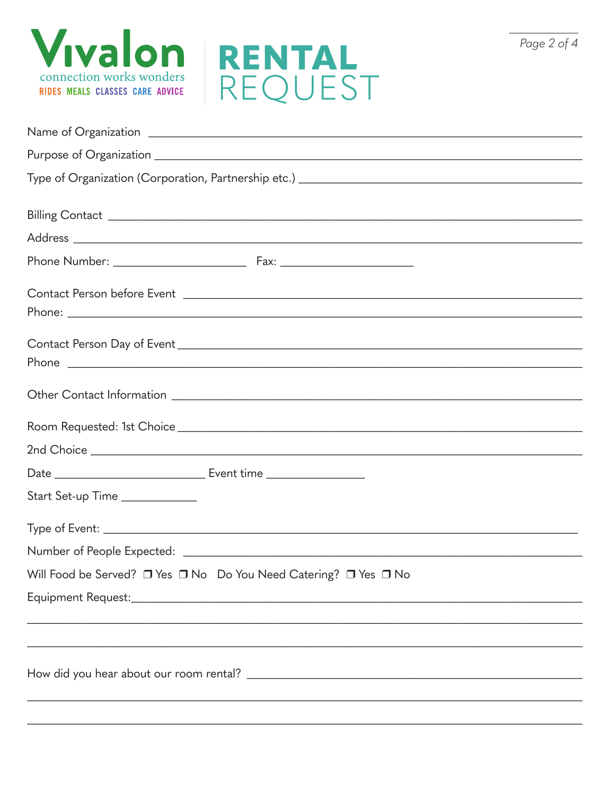



|                                | Name of Organization entry the contract of the contract of Organization entry the contract of the contract of the contract of the contract of the contract of the contract of the contract of the contract of the contract of |
|--------------------------------|-------------------------------------------------------------------------------------------------------------------------------------------------------------------------------------------------------------------------------|
|                                |                                                                                                                                                                                                                               |
|                                |                                                                                                                                                                                                                               |
|                                |                                                                                                                                                                                                                               |
|                                |                                                                                                                                                                                                                               |
|                                |                                                                                                                                                                                                                               |
|                                |                                                                                                                                                                                                                               |
|                                |                                                                                                                                                                                                                               |
|                                |                                                                                                                                                                                                                               |
|                                |                                                                                                                                                                                                                               |
|                                | Phone                                                                                                                                                                                                                         |
|                                |                                                                                                                                                                                                                               |
|                                |                                                                                                                                                                                                                               |
|                                |                                                                                                                                                                                                                               |
|                                |                                                                                                                                                                                                                               |
| Start Set-up Time ____________ |                                                                                                                                                                                                                               |
|                                |                                                                                                                                                                                                                               |
|                                |                                                                                                                                                                                                                               |
|                                | Will Food be Served? □ Yes □ No Do You Need Catering? □ Yes □ No                                                                                                                                                              |
|                                |                                                                                                                                                                                                                               |
|                                |                                                                                                                                                                                                                               |
|                                |                                                                                                                                                                                                                               |
|                                |                                                                                                                                                                                                                               |
|                                |                                                                                                                                                                                                                               |
|                                |                                                                                                                                                                                                                               |

Page 2 of 4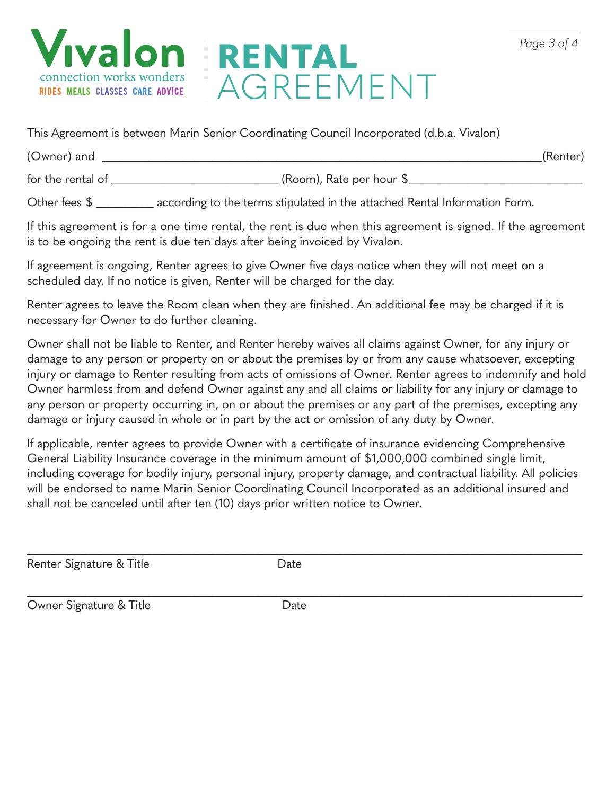



This Agreement is between Marin Senior Coordinating Council Incorporated (d.b.a. Vivalon)

(Owner) and (Renter) for the rental of  $\overline{\phantom{a}}$  (Room), Rate per hour  $\overline{\phantom{a}}$ 

Other fees \$ \_\_\_\_\_\_\_\_\_ according to the terms stipulated in the attached Rental Information Form.

If this agreement is for a one time rental, the rent is due when this agreement is signed. If the agreement is to be ongoing the rent is due ten days after being invoiced by Vivalon.

If agreement is ongoing, Renter agrees to give Owner five days notice when they will not meet on a scheduled day. If no notice is given, Renter will be charged for the day.

Renter agrees to leave the Room clean when they are finished. An additional fee may be charged if it is necessary for Owner to do further cleaning.

Owner shall not be liable to Renter, and Renter hereby waives all claims against Owner, for any injury or damage to any person or property on or about the premises by or from any cause whatsoever, excepting injury or damage to Renter resulting from acts of omissions of Owner. Renter agrees to indemnify and hold Owner harmless from and defend Owner against any and all claims or liability for any injury or damage to any person or property occurring in, on or about the premises or any part of the premises, excepting any damage or injury caused in whole or in part by the act or omission of any duty by Owner.

If applicable, renter agrees to provide Owner with a certificate of insurance evidencing Comprehensive General Liability Insurance coverage in the minimum amount of \$1,000,000 combined single limit, including coverage for bodily injury, personal injury, property damage, and contractual liability. All policies will be endorsed to name Marin Senior Coordinating Council Incorporated as an additional insured and shall not be canceled until after ten (10) days prior written notice to Owner.

\_\_\_\_\_\_\_\_\_\_\_\_\_\_\_\_\_\_\_\_\_\_\_\_\_\_\_\_\_\_\_\_\_\_\_\_\_\_\_\_\_\_\_\_\_\_\_\_\_\_\_\_\_\_\_\_\_\_\_\_\_\_\_\_\_\_\_\_\_\_\_\_\_\_\_\_\_\_\_\_\_\_\_\_\_\_\_\_\_\_\_\_\_\_\_\_

\_\_\_\_\_\_\_\_\_\_\_\_\_\_\_\_\_\_\_\_\_\_\_\_\_\_\_\_\_\_\_\_\_\_\_\_\_\_\_\_\_\_\_\_\_\_\_\_\_\_\_\_\_\_\_\_\_\_\_\_\_\_\_\_\_\_\_\_\_\_\_\_\_\_\_\_\_\_\_\_\_\_\_\_\_\_\_\_\_\_\_\_\_\_\_\_

Renter Signature & Title **Example 20** Date

Owner Signature & Title **Date** Date

*Page 3 of 4*